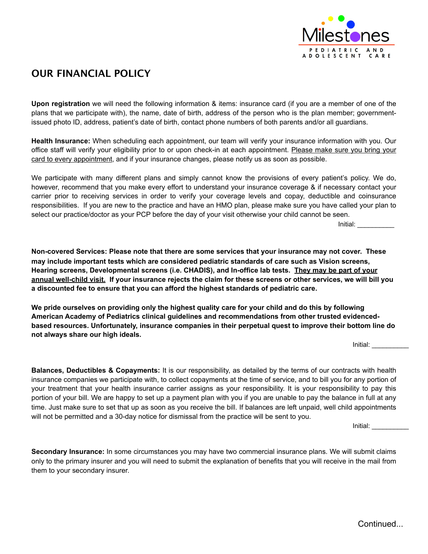

## **OUR FINANCIAL POLICY**

**Upon registration** we will need the following information & items: insurance card (if you are a member of one of the plans that we participate with), the name, date of birth, address of the person who is the plan member; governmentissued photo ID, address, patient's date of birth, contact phone numbers of both parents and/or all guardians.

**Health Insurance:** When scheduling each appointment, our team will verify your insurance information with you. Our office staff will verify your eligibility prior to or upon check-in at each appointment. Please make sure you bring your card to every appointment, and if your insurance changes, please notify us as soon as possible.

We participate with many different plans and simply cannot know the provisions of every patient's policy. We do, however, recommend that you make every effort to understand your insurance coverage & if necessary contact your carrier prior to receiving services in order to verify your coverage levels and copay, deductible and coinsurance responsibilities. If you are new to the practice and have an HMO plan, please make sure you have called your plan to select our practice/doctor as your PCP before the day of your visit otherwise your child cannot be seen.

Initial: \_\_\_\_\_\_\_\_\_\_

**Non-covered Services: Please note that there are some services that your insurance may not cover. These may include important tests which are considered pediatric standards of care such as Vision screens, Hearing screens, Developmental screens (i.e. CHADIS), and In-office lab tests. They may be part of your annual well-child visit. If your insurance rejects the claim for these screens or other services, we will bill you a discounted fee to ensure that you can afford the highest standards of pediatric care.** 

**We pride ourselves on providing only the highest quality care for your child and do this by following American Academy of Pediatrics clinical guidelines and recommendations from other trusted evidencedbased resources. Unfortunately, insurance companies in their perpetual quest to improve their bottom line do not always share our high ideals.**

Initial: \_\_\_\_\_\_\_\_\_\_

**Balances, Deductibles & Copayments:** It is our responsibility, as detailed by the terms of our contracts with health insurance companies we participate with, to collect copayments at the time of service, and to bill you for any portion of your treatment that your health insurance carrier assigns as your responsibility. It is your responsibility to pay this portion of your bill. We are happy to set up a payment plan with you if you are unable to pay the balance in full at any time. Just make sure to set that up as soon as you receive the bill. If balances are left unpaid, well child appointments will not be permitted and a 30-day notice for dismissal from the practice will be sent to you.

Initial: \_\_\_\_\_\_\_\_\_\_

**Secondary Insurance:** In some circumstances you may have two commercial insurance plans. We will submit claims only to the primary insurer and you will need to submit the explanation of benefits that you will receive in the mail from them to your secondary insurer.